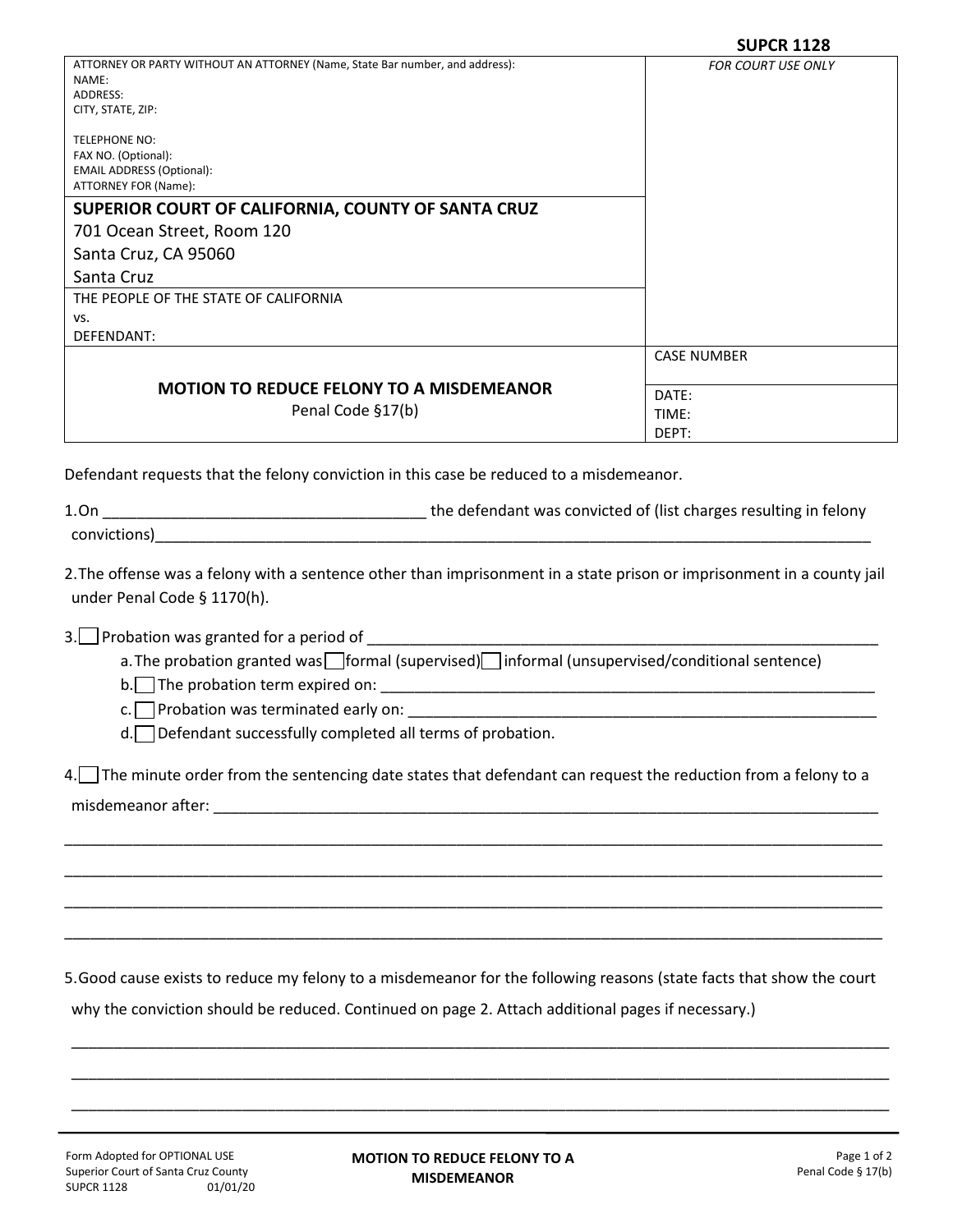|                                                                                       | JUFLN 1140                |
|---------------------------------------------------------------------------------------|---------------------------|
| ATTORNEY OR PARTY WITHOUT AN ATTORNEY (Name, State Bar number, and address):<br>NAME: | <b>FOR COURT USE ONLY</b> |
| ADDRESS:                                                                              |                           |
| CITY, STATE, ZIP:                                                                     |                           |
|                                                                                       |                           |
| <b>TELEPHONE NO:</b>                                                                  |                           |
| FAX NO. (Optional):                                                                   |                           |
| <b>EMAIL ADDRESS (Optional):</b>                                                      |                           |
| ATTORNEY FOR (Name):                                                                  |                           |
| SUPERIOR COURT OF CALIFORNIA, COUNTY OF SANTA CRUZ                                    |                           |
| 701 Ocean Street, Room 120                                                            |                           |
| Santa Cruz, CA 95060                                                                  |                           |
| Santa Cruz                                                                            |                           |
| THE PEOPLE OF THE STATE OF CALIFORNIA                                                 |                           |
| VS.                                                                                   |                           |
| DEFENDANT:                                                                            |                           |
|                                                                                       | <b>CASE NUMBER</b>        |
|                                                                                       |                           |
| <b>MOTION TO REDUCE FELONY TO A MISDEMEANOR</b><br>Penal Code §17(b)                  | DATE:                     |
|                                                                                       | TIME:                     |
|                                                                                       | DEPT:                     |
|                                                                                       |                           |

Defendant requests that the felony conviction in this case be reduced to a misdemeanor.

| 1.On         | the defendant was convicted of (list charges resulting in felony |
|--------------|------------------------------------------------------------------|
| convictions) |                                                                  |

2.The offense was a felony with a sentence other than imprisonment in a state prison or imprisonment in a county jail under Penal Code § 1170(h).

3. Probation was granted for a period of

a. The probation granted was  $\Box$  formal (supervised)  $\Box$  informal (unsupervised/conditional sentence)

 $b.$  The probation term expired on:

 $c.$  Probation was terminated early on:  $\Box$ 

d. **Defendant successfully completed all terms of probation.** 

4. The minute order from the sentencing date states that defendant can request the reduction from a felony to a

\_\_\_\_\_\_\_\_\_\_\_\_\_\_\_\_\_\_\_\_\_\_\_\_\_\_\_\_\_\_\_\_\_\_\_\_\_\_\_\_\_\_\_\_\_\_\_\_\_\_\_\_\_\_\_\_\_\_\_\_\_\_\_\_\_\_\_\_\_\_\_\_\_\_\_\_\_\_\_\_\_\_\_\_\_\_\_\_\_\_\_\_\_\_\_\_

\_\_\_\_\_\_\_\_\_\_\_\_\_\_\_\_\_\_\_\_\_\_\_\_\_\_\_\_\_\_\_\_\_\_\_\_\_\_\_\_\_\_\_\_\_\_\_\_\_\_\_\_\_\_\_\_\_\_\_\_\_\_\_\_\_\_\_\_\_\_\_\_\_\_\_\_\_\_\_\_\_\_\_\_\_\_\_\_\_\_\_\_\_\_\_\_

\_\_\_\_\_\_\_\_\_\_\_\_\_\_\_\_\_\_\_\_\_\_\_\_\_\_\_\_\_\_\_\_\_\_\_\_\_\_\_\_\_\_\_\_\_\_\_\_\_\_\_\_\_\_\_\_\_\_\_\_\_\_\_\_\_\_\_\_\_\_\_\_\_\_\_\_\_\_\_\_\_\_\_\_\_\_\_\_\_\_\_\_\_\_\_\_

\_\_\_\_\_\_\_\_\_\_\_\_\_\_\_\_\_\_\_\_\_\_\_\_\_\_\_\_\_\_\_\_\_\_\_\_\_\_\_\_\_\_\_\_\_\_\_\_\_\_\_\_\_\_\_\_\_\_\_\_\_\_\_\_\_\_\_\_\_\_\_\_\_\_\_\_\_\_\_\_\_\_\_\_\_\_\_\_\_\_\_\_\_\_\_\_

misdemeanor after:

5.Good cause exists to reduce my felony to a misdemeanor for the following reasons (state facts that show the court

\_\_\_\_\_\_\_\_\_\_\_\_\_\_\_\_\_\_\_\_\_\_\_\_\_\_\_\_\_\_\_\_\_\_\_\_\_\_\_\_\_\_\_\_\_\_\_\_\_\_\_\_\_\_\_\_\_\_\_\_\_\_\_\_\_\_\_\_\_\_\_\_\_\_\_\_\_\_\_\_\_\_\_\_\_\_\_\_\_\_\_\_\_\_\_\_

\_\_\_\_\_\_\_\_\_\_\_\_\_\_\_\_\_\_\_\_\_\_\_\_\_\_\_\_\_\_\_\_\_\_\_\_\_\_\_\_\_\_\_\_\_\_\_\_\_\_\_\_\_\_\_\_\_\_\_\_\_\_\_\_\_\_\_\_\_\_\_\_\_\_\_\_\_\_\_\_\_\_\_\_\_\_\_\_\_\_\_\_\_\_\_\_

\_\_\_\_\_\_\_\_\_\_\_\_\_\_\_\_\_\_\_\_\_\_\_\_\_\_\_\_\_\_\_\_\_\_\_\_\_\_\_\_\_\_\_\_\_\_\_\_\_\_\_\_\_\_\_\_\_\_\_\_\_\_\_\_\_\_\_\_\_\_\_\_\_\_\_\_\_\_\_\_\_\_\_\_\_\_\_\_\_\_\_\_\_\_\_\_

why the conviction should be reduced. Continued on page 2. Attach additional pages if necessary.)

**MOTION TO REDUCE FELONY TO A MISDEMEANOR**